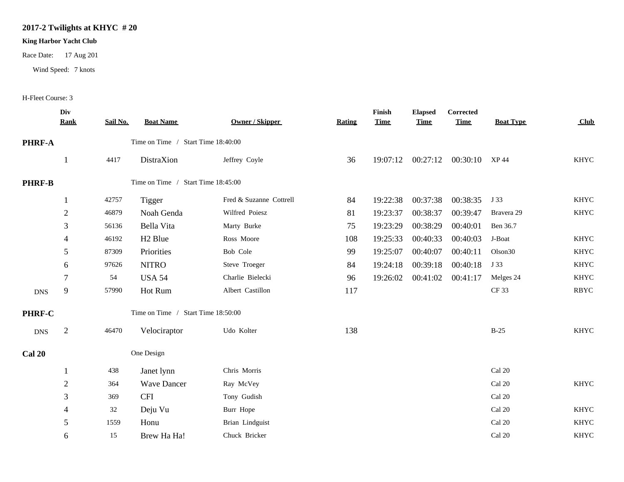## **2017-2 Twilights at KHYC # 20**

## **King Harbor Yacht Club**

Race Date: 17 Aug 201

Wind Speed: 7 knots

## H-Fleet Course: 3

|               | Div<br><b>Rank</b> | Sail No. | <b>Boat Name</b>                   | <b>Owner / Skipper</b>  | <b>Rating</b> | Finish<br><b>Time</b> | <b>Elapsed</b><br><b>Time</b> | Corrected<br><b>Time</b>        | <b>Boat Type</b>    | <b>Club</b> |
|---------------|--------------------|----------|------------------------------------|-------------------------|---------------|-----------------------|-------------------------------|---------------------------------|---------------------|-------------|
| <b>PHRF-A</b> |                    |          | Time on Time / Start Time 18:40:00 |                         |               |                       |                               |                                 |                     |             |
|               |                    | 4417     | DistraXion                         | Jeffrey Coyle           | 36            |                       |                               | 19:07:12 00:27:12 00:30:10 XP44 |                     | <b>KHYC</b> |
| <b>PHRF-B</b> |                    |          | Time on Time / Start Time 18:45:00 |                         |               |                       |                               |                                 |                     |             |
|               |                    | 42757    | Tigger                             | Fred & Suzanne Cottrell | 84            | 19:22:38              | 00:37:38                      | 00:38:35                        | J 33                | <b>KHYC</b> |
|               | $\sqrt{2}$         | 46879    | Noah Genda                         | Wilfred Poiesz          | 81            | 19:23:37              | 00:38:37                      | 00:39:47                        | Bravera 29          | <b>KHYC</b> |
|               | 3                  | 56136    | Bella Vita                         | Marty Burke             | 75            | 19:23:29              | 00:38:29                      | 00:40:01                        | Ben 36.7            |             |
|               | 4                  | 46192    | H <sub>2</sub> Blue                | Ross Moore              | 108           | 19:25:33              | 00:40:33                      | 00:40:03                        | J-Boat              | <b>KHYC</b> |
|               | 5                  | 87309    | Priorities                         | Bob Cole                | 99            | 19:25:07              | 00:40:07                      | 00:40:11                        | Olson <sub>30</sub> | <b>KHYC</b> |
|               | 6                  | 97626    | <b>NITRO</b>                       | Steve Troeger           | 84            | 19:24:18              | 00:39:18                      | 00:40:18                        | J 33                | <b>KHYC</b> |
|               | 7                  | 54       | <b>USA 54</b>                      | Charlie Bielecki        | 96            | 19:26:02              | 00:41:02                      | 00:41:17                        | Melges 24           | <b>KHYC</b> |
| ${\rm DNS}$   | 9                  | 57990    | Hot Rum                            | Albert Castillon        | 117           |                       |                               |                                 | <b>CF33</b>         | <b>RBYC</b> |
| PHRF-C        |                    |          | Time on Time / Start Time 18:50:00 |                         |               |                       |                               |                                 |                     |             |
| <b>DNS</b>    | $\overline{2}$     | 46470    | Velociraptor                       | Udo Kolter              | 138           |                       |                               |                                 | $B-25$              | <b>KHYC</b> |
| Cal 20        |                    |          | One Design                         |                         |               |                       |                               |                                 |                     |             |
|               |                    | 438      | Janet lynn                         | Chris Morris            |               |                       |                               |                                 | Cal 20              |             |
|               | $\sqrt{2}$         | 364      | <b>Wave Dancer</b>                 | Ray McVey               |               |                       |                               |                                 | Cal 20              | <b>KHYC</b> |
|               | 3                  | 369      | <b>CFI</b>                         | Tony Gudish             |               |                       |                               |                                 | Cal 20              |             |
|               |                    | 32       | Deju Vu                            | Burr Hope               |               |                       |                               |                                 | Cal 20              | <b>KHYC</b> |
|               | 5                  | 1559     | Honu                               | Brian Lindguist         |               |                       |                               |                                 | Cal 20              | <b>KHYC</b> |
|               | 6                  | 15       | Brew Ha Ha!                        | Chuck Bricker           |               |                       |                               |                                 | Cal 20              | <b>KHYC</b> |